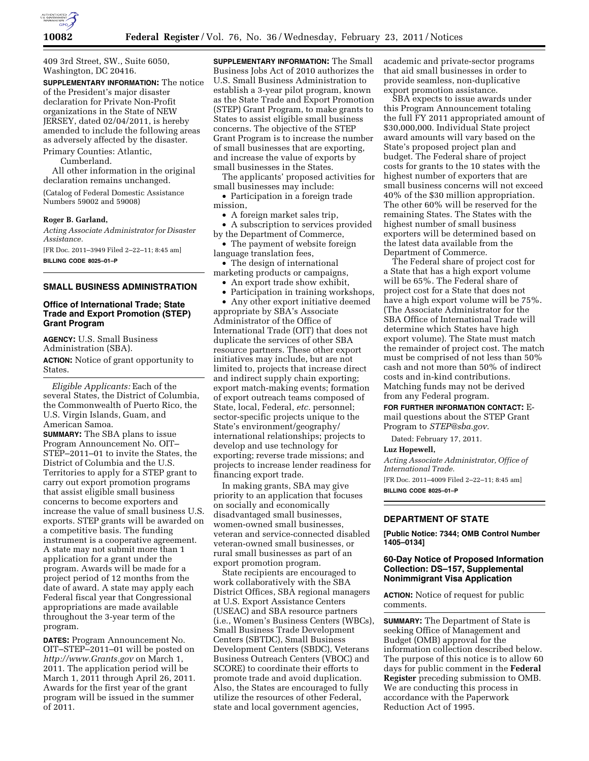

409 3rd Street, SW., Suite 6050, Washington, DC 20416.

**SUPPLEMENTARY INFORMATION:** The notice of the President's major disaster declaration for Private Non-Profit organizations in the State of NEW JERSEY, dated 02/04/2011, is hereby amended to include the following areas as adversely affected by the disaster. Primary Counties: Atlantic,

Cumberland.

All other information in the original declaration remains unchanged.

(Catalog of Federal Domestic Assistance Numbers 59002 and 59008)

### **Roger B. Garland,**

*Acting Associate Administrator for Disaster Assistance.*  [FR Doc. 2011–3949 Filed 2–22–11; 8:45 am]

**BILLING CODE 8025–01–P** 

## **SMALL BUSINESS ADMINISTRATION**

## **Office of International Trade; State Trade and Export Promotion (STEP) Grant Program**

**AGENCY:** U.S. Small Business Administration (SBA). **ACTION:** Notice of grant opportunity to States.

*Eligible Applicants:* Each of the several States, the District of Columbia, the Commonwealth of Puerto Rico, the U.S. Virgin Islands, Guam, and American Samoa.

**SUMMARY:** The SBA plans to issue Program Announcement No. OIT– STEP–2011–01 to invite the States, the District of Columbia and the U.S. Territories to apply for a STEP grant to carry out export promotion programs that assist eligible small business concerns to become exporters and increase the value of small business U.S. exports. STEP grants will be awarded on a competitive basis. The funding instrument is a cooperative agreement. A state may not submit more than 1 application for a grant under the program. Awards will be made for a project period of 12 months from the date of award. A state may apply each Federal fiscal year that Congressional appropriations are made available throughout the 3-year term of the program.

**DATES:** Program Announcement No. OIT–STEP–2011–01 will be posted on *<http://www.Grants.gov>*on March 1, 2011. The application period will be March 1, 2011 through April 26, 2011. Awards for the first year of the grant program will be issued in the summer of 2011.

**SUPPLEMENTARY INFORMATION:** The Small Business Jobs Act of 2010 authorizes the U.S. Small Business Administration to establish a 3-year pilot program, known as the State Trade and Export Promotion (STEP) Grant Program, to make grants to States to assist eligible small business concerns. The objective of the STEP Grant Program is to increase the number of small businesses that are exporting, and increase the value of exports by small businesses in the States.

The applicants' proposed activities for small businesses may include:

• Participation in a foreign trade mission,

• A foreign market sales trip,

• A subscription to services provided by the Department of Commerce,

• The payment of website foreign language translation fees,

• The design of international marketing products or campaigns,

- An export trade show exhibit,
- Participation in training workshops, • Any other export initiative deemed

appropriate by SBA's Associate Administrator of the Office of International Trade (OIT) that does not duplicate the services of other SBA resource partners. These other export initiatives may include, but are not limited to, projects that increase direct and indirect supply chain exporting; export match-making events; formation of export outreach teams composed of State, local, Federal, *etc.* personnel; sector-specific projects unique to the State's environment/geography/ international relationships; projects to develop and use technology for exporting; reverse trade missions; and projects to increase lender readiness for financing export trade.

In making grants, SBA may give priority to an application that focuses on socially and economically disadvantaged small businesses, women-owned small businesses, veteran and service-connected disabled veteran-owned small businesses, or rural small businesses as part of an export promotion program.

State recipients are encouraged to work collaboratively with the SBA District Offices, SBA regional managers at U.S. Export Assistance Centers (USEAC) and SBA resource partners (i.e., Women's Business Centers (WBCs), Small Business Trade Development Centers (SBTDC), Small Business Development Centers (SBDC), Veterans Business Outreach Centers (VBOC) and SCORE) to coordinate their efforts to promote trade and avoid duplication. Also, the States are encouraged to fully utilize the resources of other Federal, state and local government agencies,

academic and private-sector programs that aid small businesses in order to provide seamless, non-duplicative export promotion assistance.

SBA expects to issue awards under this Program Announcement totaling the full FY 2011 appropriated amount of \$30,000,000. Individual State project award amounts will vary based on the State's proposed project plan and budget. The Federal share of project costs for grants to the 10 states with the highest number of exporters that are small business concerns will not exceed 40% of the \$30 million appropriation. The other 60% will be reserved for the remaining States. The States with the highest number of small business exporters will be determined based on the latest data available from the Department of Commerce.

The Federal share of project cost for a State that has a high export volume will be 65%. The Federal share of project cost for a State that does not have a high export volume will be 75%. (The Associate Administrator for the SBA Office of International Trade will determine which States have high export volume). The State must match the remainder of project cost. The match must be comprised of not less than 50% cash and not more than 50% of indirect costs and in-kind contributions. Matching funds may not be derived from any Federal program.

**FOR FURTHER INFORMATION CONTACT:** Email questions about the STEP Grant Program to *[STEP@sba.gov.](mailto:STEP@sba.gov)* 

Dated: February 17, 2011.

#### **Luz Hopewell,**

*Acting Associate Administrator, Office of International Trade.*  [FR Doc. 2011–4009 Filed 2–22–11; 8:45 am] **BILLING CODE 8025–01–P** 

## **DEPARTMENT OF STATE**

**[Public Notice: 7344; OMB Control Number 1405–0134]** 

## **60-Day Notice of Proposed Information Collection: DS–157, Supplemental Nonimmigrant Visa Application**

**ACTION:** Notice of request for public comments.

**SUMMARY:** The Department of State is seeking Office of Management and Budget (OMB) approval for the information collection described below. The purpose of this notice is to allow 60 days for public comment in the **Federal Register** preceding submission to OMB. We are conducting this process in accordance with the Paperwork Reduction Act of 1995.